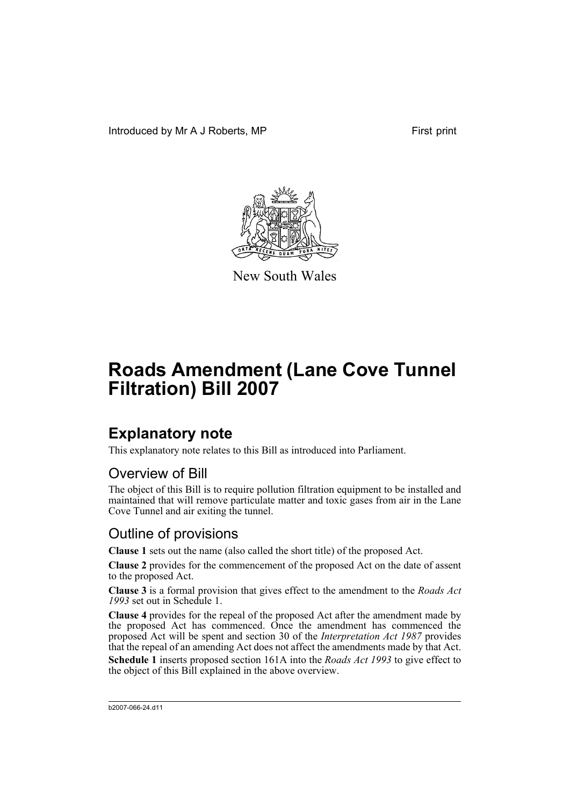Introduced by Mr A J Roberts, MP First print



New South Wales

# **Roads Amendment (Lane Cove Tunnel Filtration) Bill 2007**

## **Explanatory note**

This explanatory note relates to this Bill as introduced into Parliament.

### Overview of Bill

The object of this Bill is to require pollution filtration equipment to be installed and maintained that will remove particulate matter and toxic gases from air in the Lane Cove Tunnel and air exiting the tunnel.

## Outline of provisions

**Clause 1** sets out the name (also called the short title) of the proposed Act.

**Clause 2** provides for the commencement of the proposed Act on the date of assent to the proposed Act.

**Clause 3** is a formal provision that gives effect to the amendment to the *Roads Act 1993* set out in Schedule 1.

**Clause 4** provides for the repeal of the proposed Act after the amendment made by the proposed Act has commenced. Once the amendment has commenced the proposed Act will be spent and section 30 of the *Interpretation Act 1987* provides that the repeal of an amending Act does not affect the amendments made by that Act.

**Schedule 1** inserts proposed section 161A into the *Roads Act 1993* to give effect to the object of this Bill explained in the above overview.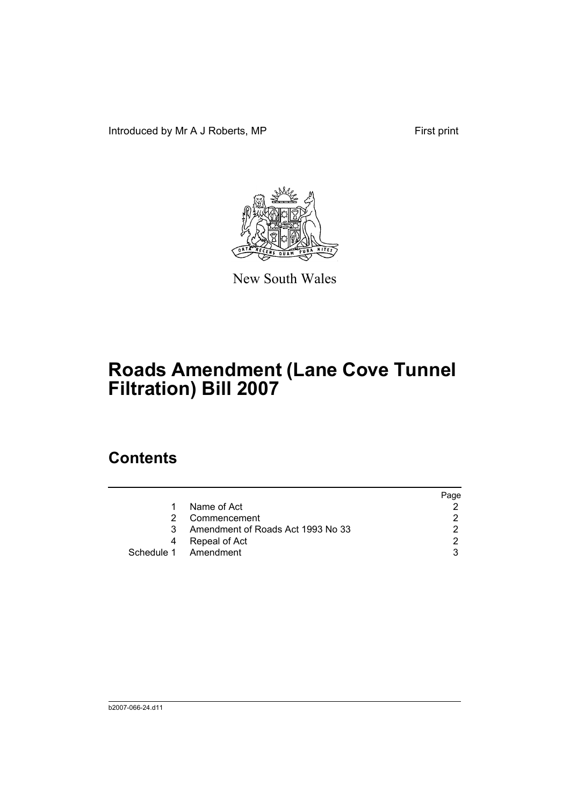Introduced by Mr A J Roberts, MP First print



New South Wales

# **Roads Amendment (Lane Cove Tunnel Filtration) Bill 2007**

## **Contents**

|   |                                   | Page |
|---|-----------------------------------|------|
|   | Name of Act                       |      |
|   | Commencement                      |      |
| 3 | Amendment of Roads Act 1993 No 33 |      |
|   | Repeal of Act                     |      |
|   | Schedule 1 Amendment              |      |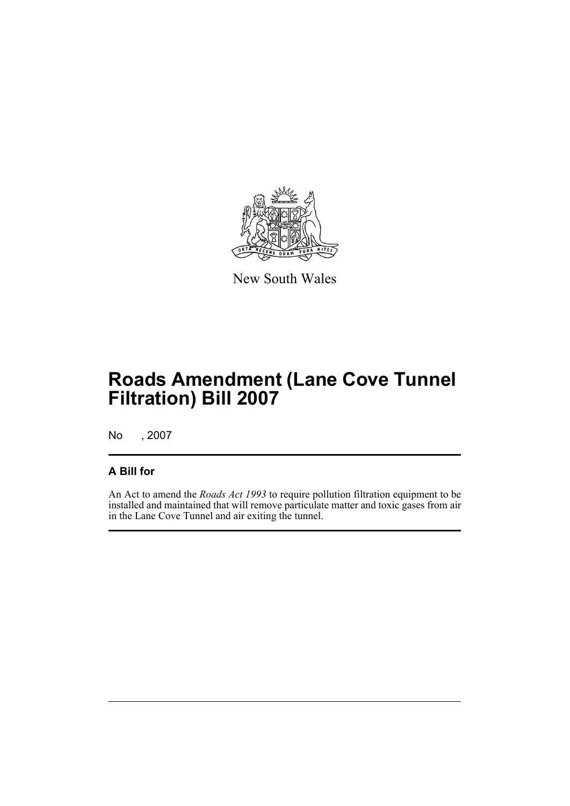

New South Wales

## **Roads Amendment (Lane Cove Tunnel Filtration) Bill 2007**

No , 2007

### **A Bill for**

An Act to amend the *Roads Act 1993* to require pollution filtration equipment to be installed and maintained that will remove particulate matter and toxic gases from air in the Lane Cove Tunnel and air exiting the tunnel.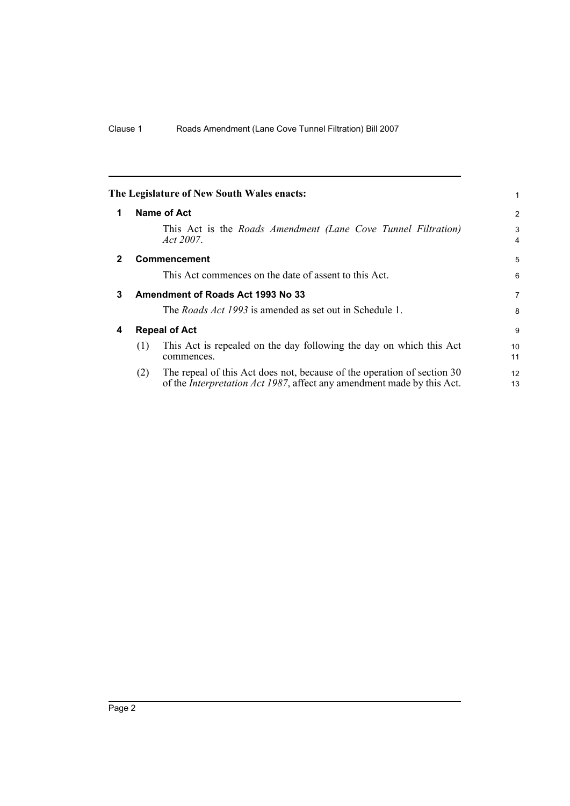<span id="page-5-3"></span><span id="page-5-2"></span><span id="page-5-1"></span><span id="page-5-0"></span>

|              |     | The Legislature of New South Wales enacts:                                                                                                                | 1                   |
|--------------|-----|-----------------------------------------------------------------------------------------------------------------------------------------------------------|---------------------|
| 1            |     | Name of Act                                                                                                                                               | $\overline{2}$      |
|              |     | This Act is the Roads Amendment (Lane Cove Tunnel Filtration)<br>Act 2007.                                                                                | 3<br>$\overline{4}$ |
| $\mathbf{2}$ |     | <b>Commencement</b>                                                                                                                                       | 5                   |
|              |     | This Act commences on the date of assent to this Act.                                                                                                     | 6                   |
| 3            |     | Amendment of Roads Act 1993 No 33                                                                                                                         | $\overline{7}$      |
|              |     | The <i>Roads Act 1993</i> is amended as set out in Schedule 1.                                                                                            | 8                   |
| 4            |     | <b>Repeal of Act</b>                                                                                                                                      | 9                   |
|              | (1) | This Act is repealed on the day following the day on which this Act<br>commences.                                                                         | 10<br>11            |
|              | (2) | The repeal of this Act does not, because of the operation of section 30<br>of the <i>Interpretation Act 1987</i> , affect any amendment made by this Act. | 12<br>13            |
|              |     |                                                                                                                                                           |                     |